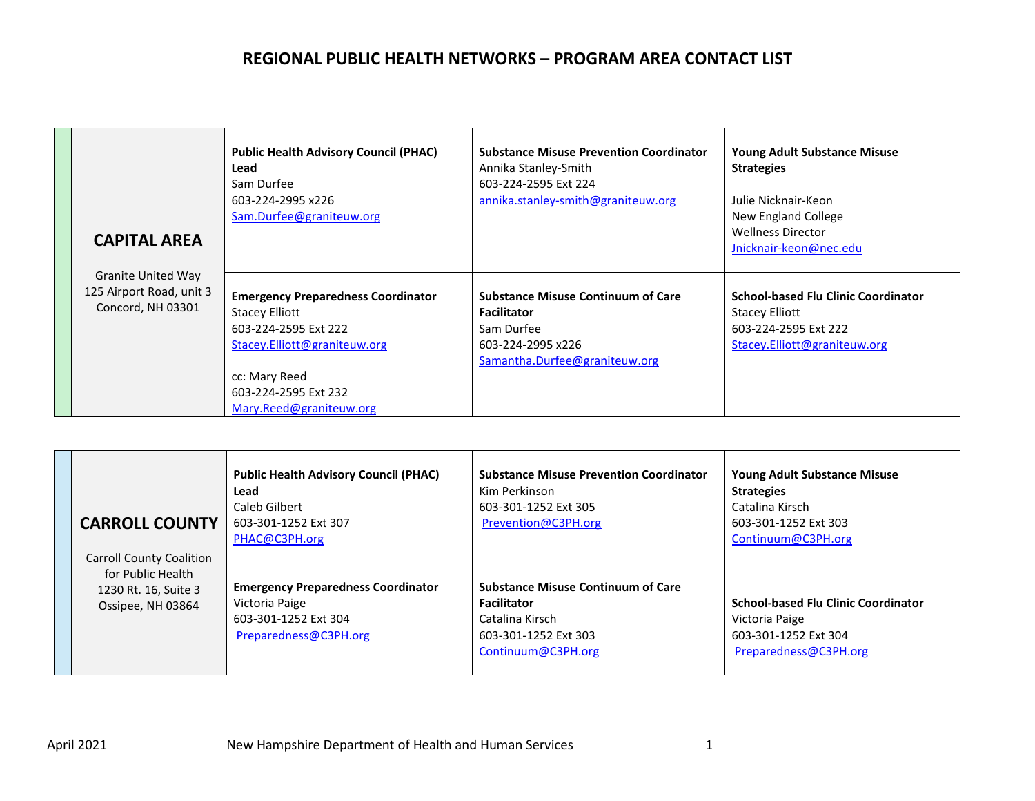| <b>CAPITAL AREA</b>                                                        | <b>Public Health Advisory Council (PHAC)</b><br>Lead<br>Sam Durfee<br>603-224-2995 x226<br>Sam.Durfee@graniteuw.org                                                                            | <b>Substance Misuse Prevention Coordinator</b><br>Annika Stanley-Smith<br>603-224-2595 Ext 224<br>annika.stanley-smith@graniteuw.org | <b>Young Adult Substance Misuse</b><br><b>Strategies</b><br>Julie Nicknair-Keon<br>New England College<br><b>Wellness Director</b><br>Jnicknair-keon@nec.edu |
|----------------------------------------------------------------------------|------------------------------------------------------------------------------------------------------------------------------------------------------------------------------------------------|--------------------------------------------------------------------------------------------------------------------------------------|--------------------------------------------------------------------------------------------------------------------------------------------------------------|
| <b>Granite United Way</b><br>125 Airport Road, unit 3<br>Concord, NH 03301 | <b>Emergency Preparedness Coordinator</b><br><b>Stacey Elliott</b><br>603-224-2595 Ext 222<br>Stacey.Elliott@graniteuw.org<br>cc: Mary Reed<br>603-224-2595 Ext 232<br>Mary.Reed@graniteuw.org | <b>Substance Misuse Continuum of Care</b><br><b>Facilitator</b><br>Sam Durfee<br>603-224-2995 x226<br>Samantha.Durfee@graniteuw.org  | <b>School-based Flu Clinic Coordinator</b><br>Stacey Elliott<br>603-224-2595 Ext 222<br>Stacey.Elliott@graniteuw.org                                         |

| <b>CARROLL COUNTY</b><br><b>Carroll County Coalition</b>       | <b>Public Health Advisory Council (PHAC)</b><br>Lead<br>Caleb Gilbert<br>603-301-1252 Ext 307<br>PHAC@C3PH.org | <b>Substance Misuse Prevention Coordinator</b><br>Kim Perkinson<br>603-301-1252 Ext 305<br>Prevention@C3PH.org                   | <b>Young Adult Substance Misuse</b><br><b>Strategies</b><br>Catalina Kirsch<br>603-301-1252 Ext 303<br>Continuum@C3PH.org |
|----------------------------------------------------------------|----------------------------------------------------------------------------------------------------------------|----------------------------------------------------------------------------------------------------------------------------------|---------------------------------------------------------------------------------------------------------------------------|
| for Public Health<br>1230 Rt. 16, Suite 3<br>Ossipee, NH 03864 | <b>Emergency Preparedness Coordinator</b><br>Victoria Paige<br>603-301-1252 Ext 304<br>Preparedness@C3PH.org   | <b>Substance Misuse Continuum of Care</b><br><b>Facilitator</b><br>Catalina Kirsch<br>603-301-1252 Ext 303<br>Continuum@C3PH.org | <b>School-based Flu Clinic Coordinator</b><br>Victoria Paige<br>603-301-1252 Ext 304<br>Preparedness@C3PH.org             |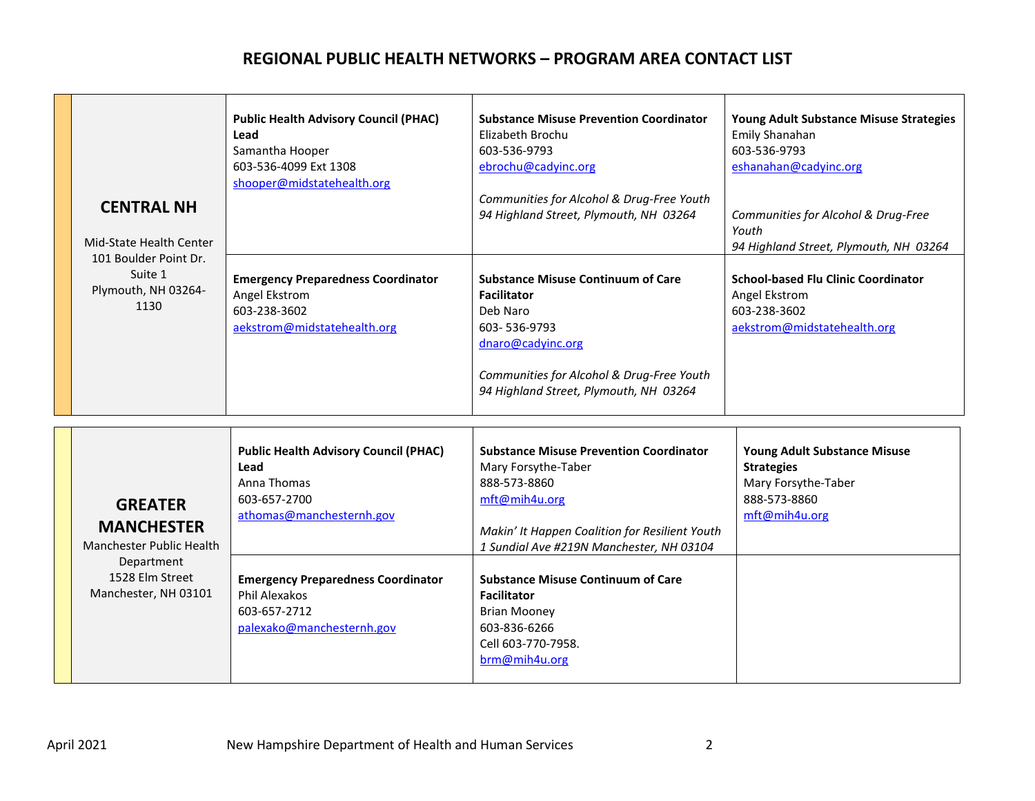| <b>CENTRAL NH</b><br>Mid-State Health Center<br>101 Boulder Point Dr.<br>Suite 1<br>Plymouth, NH 03264-<br>1130                 | <b>Public Health Advisory Council (PHAC)</b><br>Lead<br>Samantha Hooper<br>603-536-4099 Ext 1308<br>shooper@midstatehealth.org<br><b>Emergency Preparedness Coordinator</b><br>Angel Ekstrom<br>603-238-3602<br>aekstrom@midstatehealth.org | <b>Substance Misuse Prevention Coordinator</b><br>Elizabeth Brochu<br>603-536-9793<br>ebrochu@cadyinc.org<br>Communities for Alcohol & Drug-Free Youth<br>94 Highland Street, Plymouth, NH 03264<br><b>Substance Misuse Continuum of Care</b><br><b>Facilitator</b><br>Deb Naro<br>603-536-9793<br>dnaro@cadyinc.org<br>Communities for Alcohol & Drug-Free Youth<br>94 Highland Street, Plymouth, NH 03264 | Young Adult Substance Misuse Strategies<br>Emily Shanahan<br>603-536-9793<br>eshanahan@cadyinc.org<br>Communities for Alcohol & Drug-Free<br>Youth<br>94 Highland Street, Plymouth, NH 03264<br><b>School-based Flu Clinic Coordinator</b><br>Angel Ekstrom<br>603-238-3602<br>aekstrom@midstatehealth.org |
|---------------------------------------------------------------------------------------------------------------------------------|---------------------------------------------------------------------------------------------------------------------------------------------------------------------------------------------------------------------------------------------|-------------------------------------------------------------------------------------------------------------------------------------------------------------------------------------------------------------------------------------------------------------------------------------------------------------------------------------------------------------------------------------------------------------|------------------------------------------------------------------------------------------------------------------------------------------------------------------------------------------------------------------------------------------------------------------------------------------------------------|
| <b>GREATER</b><br><b>MANCHESTER</b><br><b>Manchester Public Health</b><br>Department<br>1528 Elm Street<br>Manchester, NH 03101 | <b>Public Health Advisory Council (PHAC)</b><br>Lead<br>Anna Thomas<br>603-657-2700<br>athomas@manchesternh.gov<br><b>Emergency Preparedness Coordinator</b><br>Phil Alexakos<br>603-657-2712<br>palexako@manchesternh.gov                  | <b>Substance Misuse Prevention Coordinator</b><br>Mary Forsythe-Taber<br>888-573-8860<br>mft@mih4u.org<br>Makin' It Happen Coalition for Resilient Youth<br>1 Sundial Ave #219N Manchester, NH 03104<br><b>Substance Misuse Continuum of Care</b><br><b>Facilitator</b><br><b>Brian Mooney</b><br>603-836-6266<br>Cell 603-770-7958.<br>brm@mih4u.org                                                       | <b>Young Adult Substance Misuse</b><br><b>Strategies</b><br>Mary Forsythe-Taber<br>888-573-8860<br>mft@mih4u.org                                                                                                                                                                                           |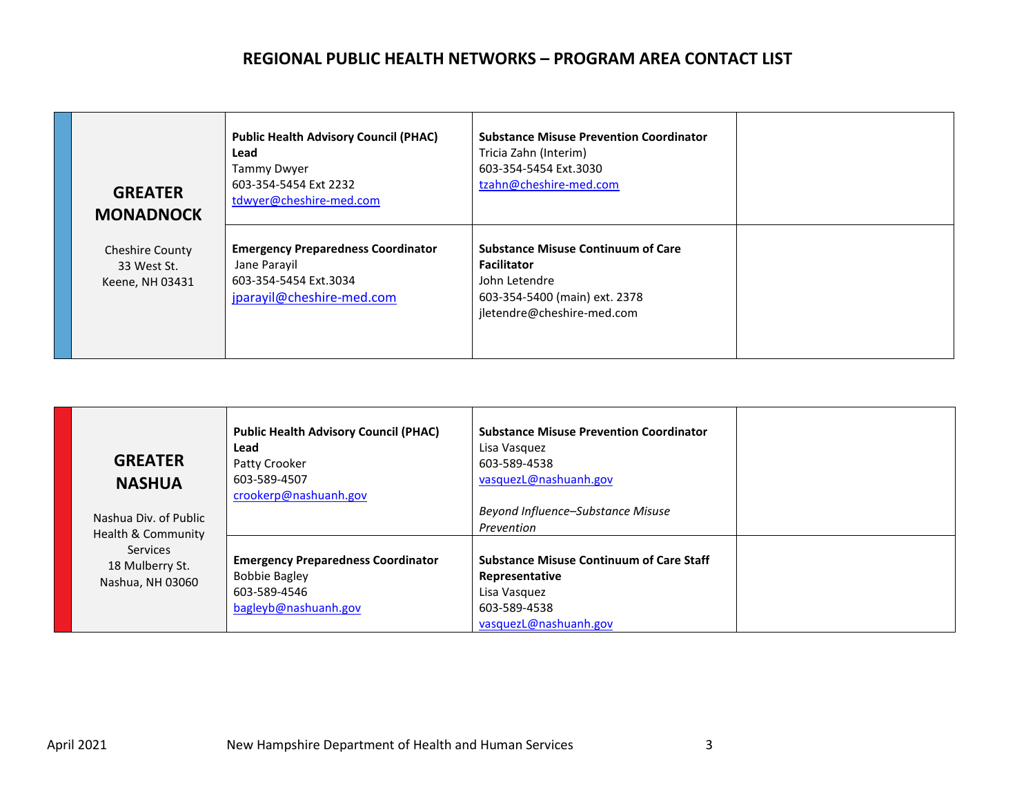| <b>GREATER</b><br><b>MONADNOCK</b>                       | <b>Public Health Advisory Council (PHAC)</b><br>Lead<br>Tammy Dwyer<br>603-354-5454 Ext 2232<br>tdwyer@cheshire-med.com | <b>Substance Misuse Prevention Coordinator</b><br>Tricia Zahn (Interim)<br>603-354-5454 Ext.3030<br>tzahn@cheshire-med.com                      |  |
|----------------------------------------------------------|-------------------------------------------------------------------------------------------------------------------------|-------------------------------------------------------------------------------------------------------------------------------------------------|--|
| <b>Cheshire County</b><br>33 West St.<br>Keene, NH 03431 | <b>Emergency Preparedness Coordinator</b><br>Jane Parayil<br>603-354-5454 Ext.3034<br>jparayil@cheshire-med.com         | <b>Substance Misuse Continuum of Care</b><br><b>Facilitator</b><br>John Letendre<br>603-354-5400 (main) ext. 2378<br>jletendre@cheshire-med.com |  |

| <b>GREATER</b><br><b>NASHUA</b><br>Nashua Div. of Public                     | <b>Public Health Advisory Council (PHAC)</b><br>Lead<br>Patty Crooker<br>603-589-4507<br>crookerp@nashuanh.gov | <b>Substance Misuse Prevention Coordinator</b><br>Lisa Vasquez<br>603-589-4538<br>vasquezL@nashuanh.gov<br>Beyond Influence-Substance Misuse<br>Prevention |  |
|------------------------------------------------------------------------------|----------------------------------------------------------------------------------------------------------------|------------------------------------------------------------------------------------------------------------------------------------------------------------|--|
| Health & Community<br><b>Services</b><br>18 Mulberry St.<br>Nashua, NH 03060 | <b>Emergency Preparedness Coordinator</b><br><b>Bobbie Bagley</b><br>603-589-4546<br>bagleyb@nashuanh.gov      | <b>Substance Misuse Continuum of Care Staff</b><br>Representative<br>Lisa Vasquez<br>603-589-4538<br>vasquezL@nashuanh.gov                                 |  |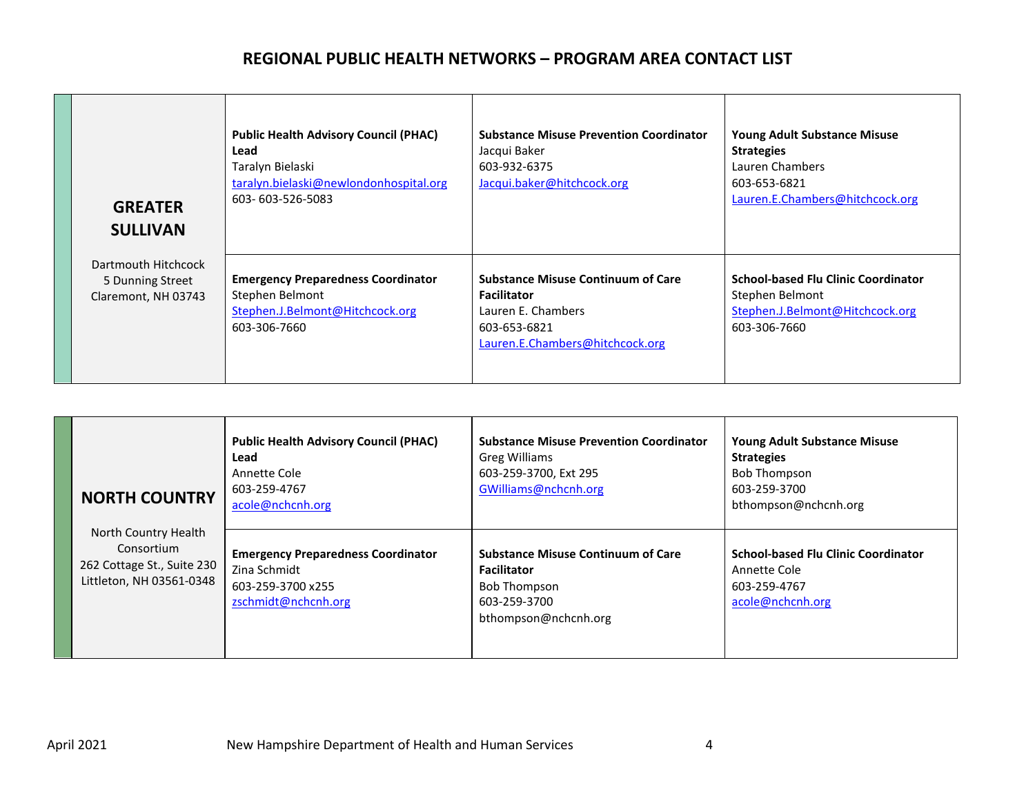| <b>GREATER</b><br><b>SULLIVAN</b>                              | <b>Public Health Advisory Council (PHAC)</b><br>Lead<br>Taralyn Bielaski<br>taralyn.bielaski@newlondonhospital.org<br>603-603-526-5083 | <b>Substance Misuse Prevention Coordinator</b><br>Jacqui Baker<br>603-932-6375<br>Jacqui.baker@hitchcock.org                             | <b>Young Adult Substance Misuse</b><br><b>Strategies</b><br>Lauren Chambers<br>603-653-6821<br>Lauren.E.Chambers@hitchcock.org |
|----------------------------------------------------------------|----------------------------------------------------------------------------------------------------------------------------------------|------------------------------------------------------------------------------------------------------------------------------------------|--------------------------------------------------------------------------------------------------------------------------------|
| Dartmouth Hitchcock<br>5 Dunning Street<br>Claremont, NH 03743 | <b>Emergency Preparedness Coordinator</b><br>Stephen Belmont<br>Stephen.J.Belmont@Hitchcock.org<br>603-306-7660                        | <b>Substance Misuse Continuum of Care</b><br><b>Facilitator</b><br>Lauren E. Chambers<br>603-653-6821<br>Lauren.E.Chambers@hitchcock.org | <b>School-based Flu Clinic Coordinator</b><br>Stephen Belmont<br>Stephen.J.Belmont@Hitchcock.org<br>603-306-7660               |

|                                                                                              | <b>NORTH COUNTRY</b>                                                                                  | <b>Public Health Advisory Council (PHAC)</b><br>Lead<br>Annette Cole<br>603-259-4767<br>acole@nchcnh.org                       | <b>Substance Misuse Prevention Coordinator</b><br>Greg Williams<br>603-259-3700, Ext 295<br>GWilliams@nchcnh.org | <b>Young Adult Substance Misuse</b><br><b>Strategies</b><br><b>Bob Thompson</b><br>603-259-3700<br>bthompson@nchcnh.org |
|----------------------------------------------------------------------------------------------|-------------------------------------------------------------------------------------------------------|--------------------------------------------------------------------------------------------------------------------------------|------------------------------------------------------------------------------------------------------------------|-------------------------------------------------------------------------------------------------------------------------|
| North Country Health<br>Consortium<br>262 Cottage St., Suite 230<br>Littleton, NH 03561-0348 | <b>Emergency Preparedness Coordinator</b><br>Zina Schmidt<br>603-259-3700 x255<br>zschmidt@nchcnh.org | <b>Substance Misuse Continuum of Care</b><br><b>Facilitator</b><br><b>Bob Thompson</b><br>603-259-3700<br>bthompson@nchcnh.org | <b>School-based Flu Clinic Coordinator</b><br>Annette Cole<br>603-259-4767<br>acole@nchcnh.org                   |                                                                                                                         |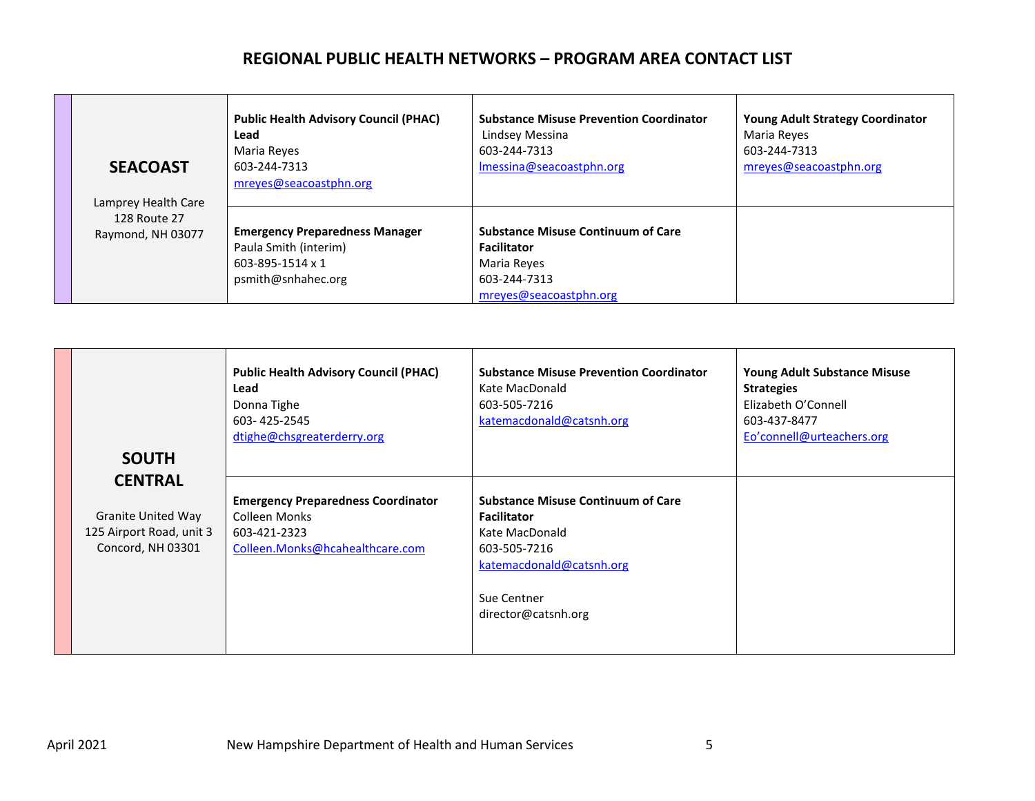| <b>SEACOAST</b><br>Lamprey Health Care | <b>Public Health Advisory Council (PHAC)</b><br>Lead<br>Maria Reyes<br>603-244-7313<br>mreyes@seacoastphn.org | <b>Substance Misuse Prevention Coordinator</b><br>Lindsey Messina<br>603-244-7313<br>Imessina@seacoastphn.org            | <b>Young Adult Strategy Coordinator</b><br>Maria Reyes<br>603-244-7313<br>mreyes@seacoastphn.org |
|----------------------------------------|---------------------------------------------------------------------------------------------------------------|--------------------------------------------------------------------------------------------------------------------------|--------------------------------------------------------------------------------------------------|
| 128 Route 27<br>Raymond, NH 03077      | <b>Emergency Preparedness Manager</b><br>Paula Smith (interim)<br>603-895-1514 x 1<br>psmith@snhahec.org      | <b>Substance Misuse Continuum of Care</b><br><b>Facilitator</b><br>Maria Reves<br>603-244-7313<br>mreyes@seacoastphn.org |                                                                                                  |

| <b>SOUTH</b>                                                               | <b>Public Health Advisory Council (PHAC)</b><br>Lead<br>Donna Tighe<br>603-425-2545<br>dtighe@chsgreaterderry.org | <b>Substance Misuse Prevention Coordinator</b><br>Kate MacDonald<br>603-505-7216<br>katemacdonald@catsnh.org                                                        | <b>Young Adult Substance Misuse</b><br><b>Strategies</b><br>Elizabeth O'Connell<br>603-437-8477<br>Eo'connell@urteachers.org |
|----------------------------------------------------------------------------|-------------------------------------------------------------------------------------------------------------------|---------------------------------------------------------------------------------------------------------------------------------------------------------------------|------------------------------------------------------------------------------------------------------------------------------|
| <b>CENTRAL</b>                                                             |                                                                                                                   |                                                                                                                                                                     |                                                                                                                              |
| <b>Granite United Way</b><br>125 Airport Road, unit 3<br>Concord, NH 03301 | <b>Emergency Preparedness Coordinator</b><br>Colleen Monks<br>603-421-2323<br>Colleen.Monks@hcahealthcare.com     | <b>Substance Misuse Continuum of Care</b><br><b>Facilitator</b><br>Kate MacDonald<br>603-505-7216<br>katemacdonald@catsnh.org<br>Sue Centner<br>director@catsnh.org |                                                                                                                              |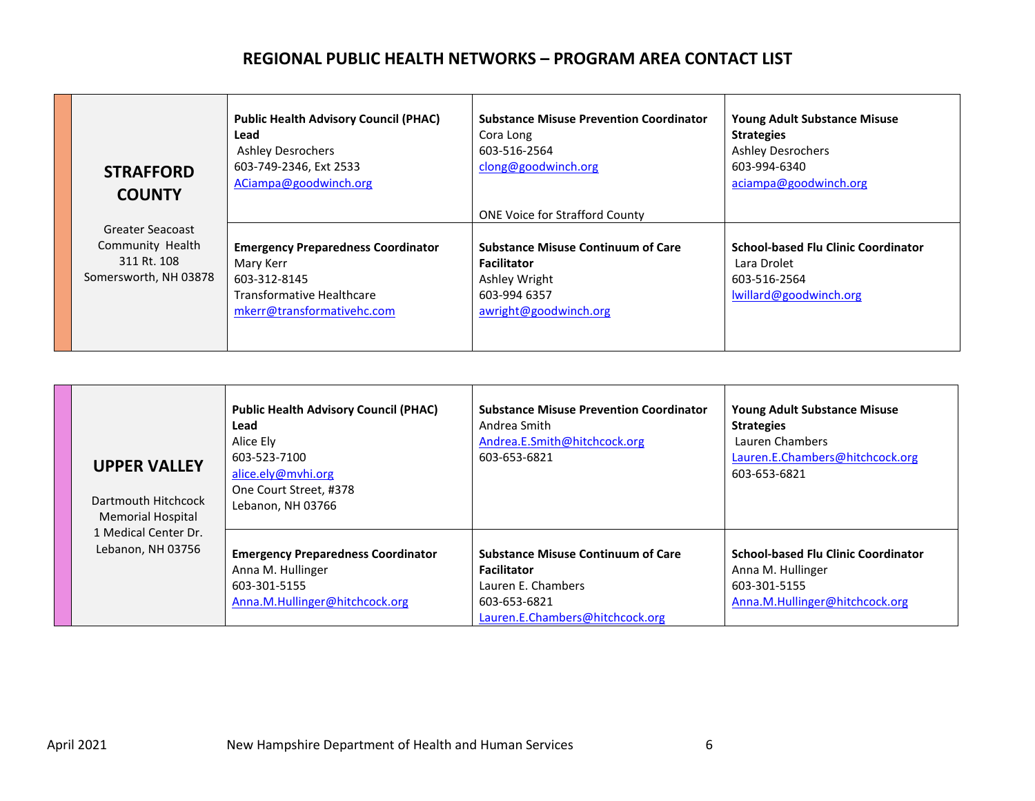| <b>STRAFFORD</b><br><b>COUNTY</b> | <b>Public Health Advisory Council (PHAC)</b><br>Lead<br><b>Ashley Desrochers</b><br>603-749-2346, Ext 2533<br>ACiampa@goodwinch.org | <b>Substance Misuse Prevention Coordinator</b><br>Cora Long<br>603-516-2564<br>clong@goodwinch.org | <b>Young Adult Substance Misuse</b><br><b>Strategies</b><br><b>Ashley Desrochers</b><br>603-994-6340<br>aciampa@goodwinch.org |
|-----------------------------------|-------------------------------------------------------------------------------------------------------------------------------------|----------------------------------------------------------------------------------------------------|-------------------------------------------------------------------------------------------------------------------------------|
|                                   |                                                                                                                                     | <b>ONE Voice for Strafford County</b>                                                              |                                                                                                                               |
| Greater Seacoast                  |                                                                                                                                     |                                                                                                    |                                                                                                                               |
| Community Health                  | <b>Emergency Preparedness Coordinator</b>                                                                                           | <b>Substance Misuse Continuum of Care</b>                                                          | <b>School-based Flu Clinic Coordinator</b>                                                                                    |
| 311 Rt. 108                       | Mary Kerr                                                                                                                           | <b>Facilitator</b>                                                                                 | Lara Drolet                                                                                                                   |
| Somersworth, NH 03878             | 603-312-8145                                                                                                                        | Ashley Wright                                                                                      | 603-516-2564                                                                                                                  |
|                                   | <b>Transformative Healthcare</b>                                                                                                    | 603-994 6357                                                                                       | lwillard@goodwinch.org                                                                                                        |
|                                   | mkerr@transformativehc.com                                                                                                          | awright@goodwinch.org                                                                              |                                                                                                                               |
|                                   |                                                                                                                                     |                                                                                                    |                                                                                                                               |

| <b>UPPER VALLEY</b><br>Dartmouth Hitchcock<br><b>Memorial Hospital</b> | <b>Public Health Advisory Council (PHAC)</b><br>Lead<br>Alice Ely<br>603-523-7100<br>alice.ely@mvhi.org<br>One Court Street, #378<br>Lebanon, NH 03766 | <b>Substance Misuse Prevention Coordinator</b><br>Andrea Smith<br>Andrea.E.Smith@hitchcock.org<br>603-653-6821                           | <b>Young Adult Substance Misuse</b><br><b>Strategies</b><br>Lauren Chambers<br>Lauren.E.Chambers@hitchcock.org<br>603-653-6821 |
|------------------------------------------------------------------------|--------------------------------------------------------------------------------------------------------------------------------------------------------|------------------------------------------------------------------------------------------------------------------------------------------|--------------------------------------------------------------------------------------------------------------------------------|
| 1 Medical Center Dr.<br>Lebanon, NH 03756                              | <b>Emergency Preparedness Coordinator</b><br>Anna M. Hullinger<br>603-301-5155<br>Anna.M.Hullinger@hitchcock.org                                       | <b>Substance Misuse Continuum of Care</b><br><b>Facilitator</b><br>Lauren E. Chambers<br>603-653-6821<br>Lauren.E.Chambers@hitchcock.org | <b>School-based Flu Clinic Coordinator</b><br>Anna M. Hullinger<br>603-301-5155<br>Anna.M.Hullinger@hitchcock.org              |